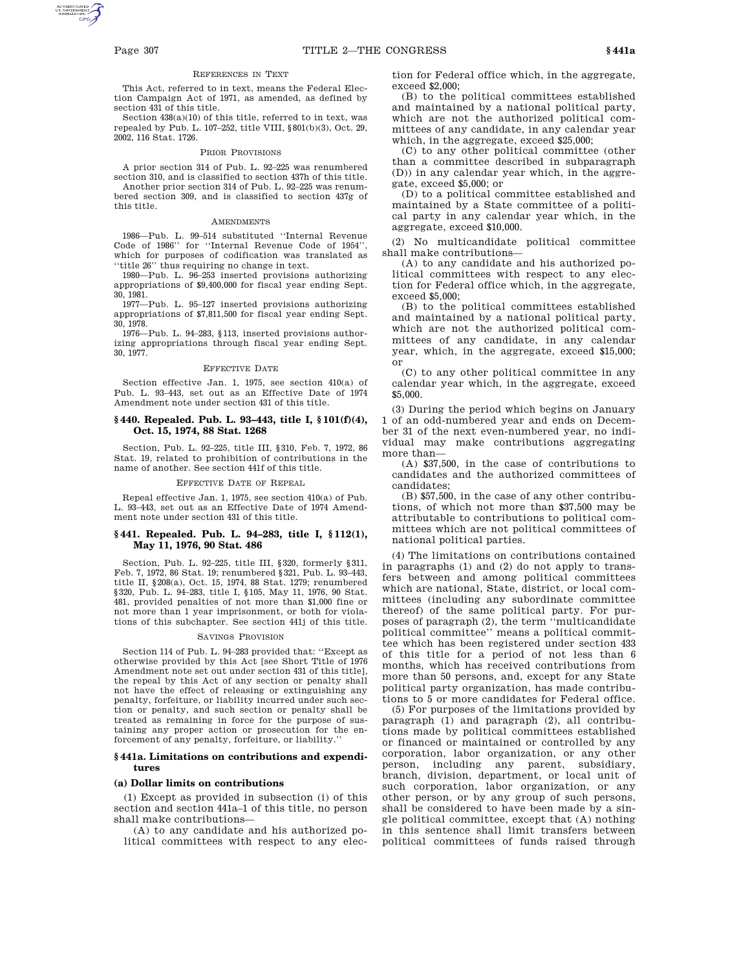#### REFERENCES IN TEXT

This Act, referred to in text, means the Federal Election Campaign Act of 1971, as amended, as defined by section 431 of this title.

Section 438(a)(10) of this title, referred to in text, was repealed by Pub. L. 107–252, title VIII, §801(b)(3), Oct. 29, 2002, 116 Stat. 1726.

#### PRIOR PROVISIONS

A prior section 314 of Pub. L. 92–225 was renumbered section 310, and is classified to section 437h of this title.

Another prior section 314 of Pub. L. 92–225 was renumbered section 309, and is classified to section 437g of this title.

#### AMENDMENTS

1986—Pub. L. 99–514 substituted ''Internal Revenue Code of 1986'' for ''Internal Revenue Code of 1954'', which for purposes of codification was translated as 'title 26" thus requiring no change in text.

1980—Pub. L. 96–253 inserted provisions authorizing appropriations of \$9,400,000 for fiscal year ending Sept. 30, 1981.

1977—Pub. L. 95–127 inserted provisions authorizing appropriations of \$7,811,500 for fiscal year ending Sept. 30, 1978.

1976—Pub. L. 94–283, §113, inserted provisions authorizing appropriations through fiscal year ending Sept. 30, 1977.

#### EFFECTIVE DATE

Section effective Jan. 1, 1975, see section 410(a) of Pub. L. 93–443, set out as an Effective Date of 1974 Amendment note under section 431 of this title.

## **§ 440. Repealed. Pub. L. 93–443, title I, § 101(f)(4), Oct. 15, 1974, 88 Stat. 1268**

Section, Pub. L. 92–225, title III, §310, Feb. 7, 1972, 86 Stat. 19, related to prohibition of contributions in the name of another. See section 441f of this title.

#### EFFECTIVE DATE OF REPEAL

Repeal effective Jan. 1, 1975, see section 410(a) of Pub. L. 93–443, set out as an Effective Date of 1974 Amendment note under section 431 of this title.

#### **§ 441. Repealed. Pub. L. 94–283, title I, § 112(1), May 11, 1976, 90 Stat. 486**

Section, Pub. L. 92–225, title III, §320, formerly §311, Feb. 7, 1972, 86 Stat. 19; renumbered §321, Pub. L. 93–443, title II, §208(a), Oct. 15, 1974, 88 Stat. 1279; renumbered §320, Pub. L. 94–283, title I, §105, May 11, 1976, 90 Stat. 481, provided penalties of not more than \$1,000 fine or not more than 1 year imprisonment, or both for violations of this subchapter. See section 441j of this title.

#### SAVINGS PROVISION

Section 114 of Pub. L. 94–283 provided that: ''Except as otherwise provided by this Act [see Short Title of 1976 Amendment note set out under section 431 of this title], the repeal by this Act of any section or penalty shall not have the effect of releasing or extinguishing any penalty, forfeiture, or liability incurred under such section or penalty, and such section or penalty shall be treated as remaining in force for the purpose of sustaining any proper action or prosecution for the enforcement of any penalty, forfeiture, or liability.''

#### **§ 441a. Limitations on contributions and expenditures**

#### **(a) Dollar limits on contributions**

(1) Except as provided in subsection (i) of this section and section 441a–1 of this title, no person shall make contributions—

(A) to any candidate and his authorized political committees with respect to any election for Federal office which, in the aggregate, exceed \$2,000;

(B) to the political committees established and maintained by a national political party, which are not the authorized political committees of any candidate, in any calendar year which, in the aggregate, exceed \$25,000;

(C) to any other political committee (other than a committee described in subparagraph (D)) in any calendar year which, in the aggregate, exceed \$5,000; or

(D) to a political committee established and maintained by a State committee of a political party in any calendar year which, in the aggregate, exceed \$10,000.

(2) No multicandidate political committee shall make contributions—

(A) to any candidate and his authorized political committees with respect to any election for Federal office which, in the aggregate, exceed \$5,000;

(B) to the political committees established and maintained by a national political party, which are not the authorized political committees of any candidate, in any calendar year, which, in the aggregate, exceed \$15,000; or

(C) to any other political committee in any calendar year which, in the aggregate, exceed \$5,000.

(3) During the period which begins on January 1 of an odd-numbered year and ends on December 31 of the next even-numbered year, no individual may make contributions aggregating more than—

(A) \$37,500, in the case of contributions to candidates and the authorized committees of candidates;

(B) \$57,500, in the case of any other contributions, of which not more than \$37,500 may be attributable to contributions to political committees which are not political committees of national political parties.

(4) The limitations on contributions contained in paragraphs (1) and (2) do not apply to transfers between and among political committees which are national, State, district, or local committees (including any subordinate committee thereof) of the same political party. For purposes of paragraph (2), the term ''multicandidate political committee'' means a political committee which has been registered under section 433 of this title for a period of not less than 6 months, which has received contributions from more than 50 persons, and, except for any State political party organization, has made contributions to 5 or more candidates for Federal office.

(5) For purposes of the limitations provided by paragraph (1) and paragraph (2), all contributions made by political committees established or financed or maintained or controlled by any corporation, labor organization, or any other person, including any parent, subsidiary, branch, division, department, or local unit of such corporation, labor organization, or any other person, or by any group of such persons, shall be considered to have been made by a single political committee, except that (A) nothing in this sentence shall limit transfers between political committees of funds raised through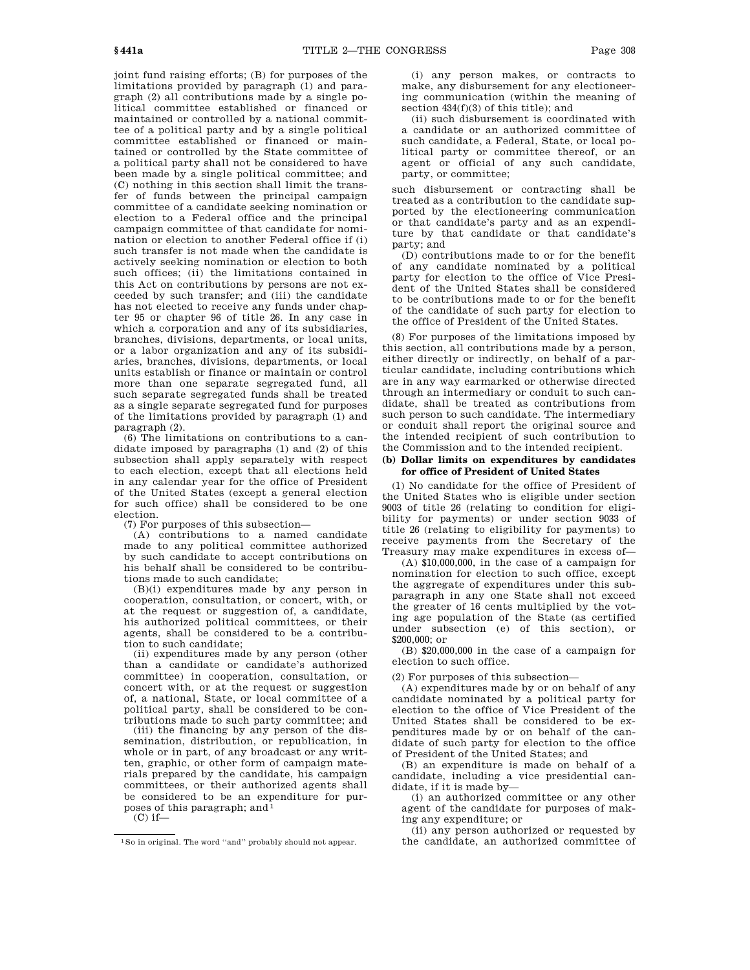joint fund raising efforts; (B) for purposes of the limitations provided by paragraph (1) and paragraph (2) all contributions made by a single political committee established or financed or maintained or controlled by a national committee of a political party and by a single political committee established or financed or maintained or controlled by the State committee of a political party shall not be considered to have been made by a single political committee; and (C) nothing in this section shall limit the transfer of funds between the principal campaign committee of a candidate seeking nomination or election to a Federal office and the principal campaign committee of that candidate for nomination or election to another Federal office if (i) such transfer is not made when the candidate is actively seeking nomination or election to both such offices; (ii) the limitations contained in this Act on contributions by persons are not exceeded by such transfer; and (iii) the candidate has not elected to receive any funds under chapter 95 or chapter 96 of title 26. In any case in which a corporation and any of its subsidiaries, branches, divisions, departments, or local units, or a labor organization and any of its subsidiaries, branches, divisions, departments, or local units establish or finance or maintain or control more than one separate segregated fund, all such separate segregated funds shall be treated as a single separate segregated fund for purposes of the limitations provided by paragraph (1) and paragraph (2).

(6) The limitations on contributions to a candidate imposed by paragraphs (1) and (2) of this subsection shall apply separately with respect to each election, except that all elections held in any calendar year for the office of President of the United States (except a general election for such office) shall be considered to be one election.

(7) For purposes of this subsection—

(A) contributions to a named candidate made to any political committee authorized by such candidate to accept contributions on his behalf shall be considered to be contributions made to such candidate;

(B)(i) expenditures made by any person in cooperation, consultation, or concert, with, or at the request or suggestion of, a candidate, his authorized political committees, or their agents, shall be considered to be a contribution to such candidate;

(ii) expenditures made by any person (other than a candidate or candidate's authorized committee) in cooperation, consultation, or concert with, or at the request or suggestion of, a national, State, or local committee of a political party, shall be considered to be contributions made to such party committee; and

(iii) the financing by any person of the dissemination, distribution, or republication, in whole or in part, of any broadcast or any written, graphic, or other form of campaign materials prepared by the candidate, his campaign committees, or their authorized agents shall be considered to be an expenditure for purposes of this paragraph; and 1

 $(C)$  if—

(i) any person makes, or contracts to make, any disbursement for any electioneering communication (within the meaning of section 434(f)(3) of this title); and

(ii) such disbursement is coordinated with a candidate or an authorized committee of such candidate, a Federal, State, or local political party or committee thereof, or an agent or official of any such candidate, party, or committee;

such disbursement or contracting shall be treated as a contribution to the candidate supported by the electioneering communication or that candidate's party and as an expenditure by that candidate or that candidate's party; and

(D) contributions made to or for the benefit of any candidate nominated by a political party for election to the office of Vice President of the United States shall be considered to be contributions made to or for the benefit of the candidate of such party for election to the office of President of the United States.

(8) For purposes of the limitations imposed by this section, all contributions made by a person, either directly or indirectly, on behalf of a particular candidate, including contributions which are in any way earmarked or otherwise directed through an intermediary or conduit to such candidate, shall be treated as contributions from such person to such candidate. The intermediary or conduit shall report the original source and the intended recipient of such contribution to the Commission and to the intended recipient.

## **(b) Dollar limits on expenditures by candidates for office of President of United States**

(1) No candidate for the office of President of the United States who is eligible under section 9003 of title 26 (relating to condition for eligibility for payments) or under section 9033 of title 26 (relating to eligibility for payments) to receive payments from the Secretary of the Treasury may make expenditures in excess of—

(A) \$10,000,000, in the case of a campaign for nomination for election to such office, except the aggregate of expenditures under this subparagraph in any one State shall not exceed the greater of 16 cents multiplied by the voting age population of the State (as certified under subsection (e) of this section), or \$200,000; or

(B) \$20,000,000 in the case of a campaign for election to such office.

(2) For purposes of this subsection—

(A) expenditures made by or on behalf of any candidate nominated by a political party for election to the office of Vice President of the United States shall be considered to be expenditures made by or on behalf of the candidate of such party for election to the office of President of the United States; and

(B) an expenditure is made on behalf of a candidate, including a vice presidential candidate, if it is made by—

(i) an authorized committee or any other agent of the candidate for purposes of making any expenditure; or

(ii) any person authorized or requested by the candidate, an authorized committee of

<sup>1</sup>So in original. The word ''and'' probably should not appear.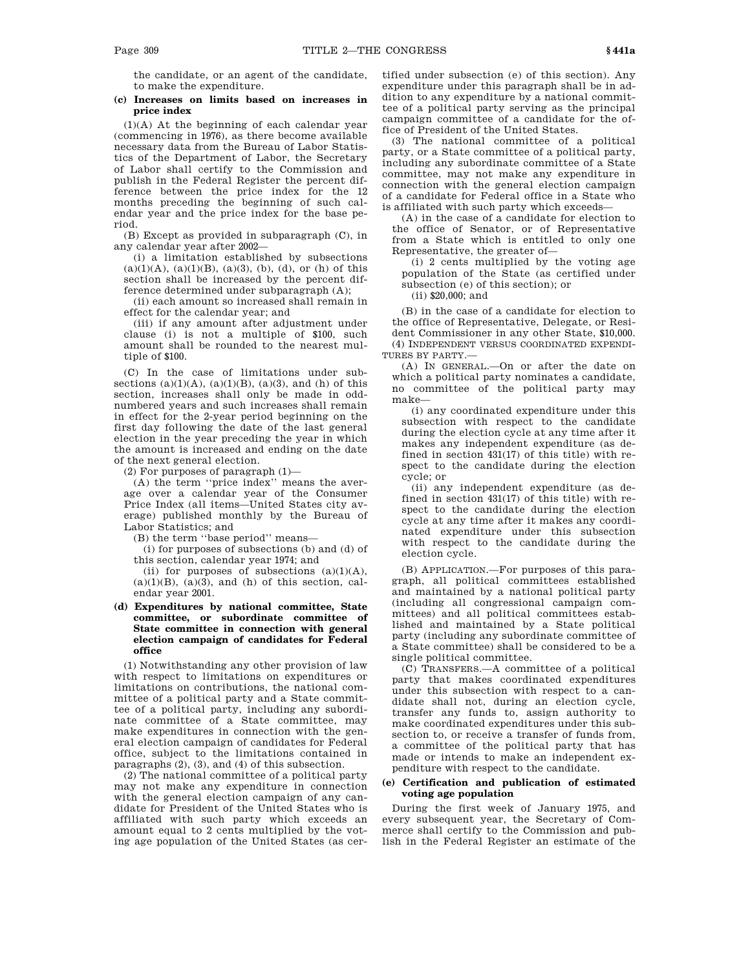the candidate, or an agent of the candidate, to make the expenditure.

## **(c) Increases on limits based on increases in price index**

(1)(A) At the beginning of each calendar year (commencing in 1976), as there become available necessary data from the Bureau of Labor Statistics of the Department of Labor, the Secretary of Labor shall certify to the Commission and publish in the Federal Register the percent difference between the price index for the 12 months preceding the beginning of such calendar year and the price index for the base period.

(B) Except as provided in subparagraph (C), in any calendar year after 2002—

(i) a limitation established by subsections  $(a)(1)(A), (a)(1)(B), (a)(3), (b), (d),$  or  $(h)$  of this section shall be increased by the percent difference determined under subparagraph (A);

(ii) each amount so increased shall remain in effect for the calendar year; and

(iii) if any amount after adjustment under clause (i) is not a multiple of \$100, such amount shall be rounded to the nearest multiple of \$100.

(C) In the case of limitations under subsections  $(a)(1)(A)$ ,  $(a)(1)(B)$ ,  $(a)(3)$ , and  $(h)$  of this section, increases shall only be made in oddnumbered years and such increases shall remain in effect for the 2-year period beginning on the first day following the date of the last general election in the year preceding the year in which the amount is increased and ending on the date of the next general election.

(2) For purposes of paragraph  $(1)$ —

(A) the term ''price index'' means the average over a calendar year of the Consumer Price Index (all items—United States city average) published monthly by the Bureau of Labor Statistics; and

(B) the term ''base period'' means—

(i) for purposes of subsections (b) and (d) of this section, calendar year 1974; and

(ii) for purposes of subsections  $(a)(1)(A)$ ,  $(a)(1)(B)$ ,  $(a)(3)$ , and  $(h)$  of this section, calendar year 2001.

## **(d) Expenditures by national committee, State committee, or subordinate committee of State committee in connection with general election campaign of candidates for Federal office**

(1) Notwithstanding any other provision of law with respect to limitations on expenditures or limitations on contributions, the national committee of a political party and a State committee of a political party, including any subordinate committee of a State committee, may make expenditures in connection with the general election campaign of candidates for Federal office, subject to the limitations contained in paragraphs (2), (3), and (4) of this subsection.

(2) The national committee of a political party may not make any expenditure in connection with the general election campaign of any candidate for President of the United States who is affiliated with such party which exceeds an amount equal to 2 cents multiplied by the voting age population of the United States (as certified under subsection (e) of this section). Any expenditure under this paragraph shall be in addition to any expenditure by a national committee of a political party serving as the principal campaign committee of a candidate for the office of President of the United States.

(3) The national committee of a political party, or a State committee of a political party, including any subordinate committee of a State committee, may not make any expenditure in connection with the general election campaign of a candidate for Federal office in a State who is affiliated with such party which exceeds—

(A) in the case of a candidate for election to the office of Senator, or of Representative from a State which is entitled to only one Representative, the greater of—

(i) 2 cents multiplied by the voting age population of the State (as certified under subsection (e) of this section); or

(ii) \$20,000; and

(B) in the case of a candidate for election to the office of Representative, Delegate, or Resident Commissioner in any other State, \$10,000. (4) INDEPENDENT VERSUS COORDINATED EXPENDI-TURES BY PARTY.—

(A) IN GENERAL.—On or after the date on which a political party nominates a candidate, no committee of the political party may make—

(i) any coordinated expenditure under this subsection with respect to the candidate during the election cycle at any time after it makes any independent expenditure (as defined in section 431(17) of this title) with respect to the candidate during the election cycle; or

(ii) any independent expenditure (as defined in section 431(17) of this title) with respect to the candidate during the election cycle at any time after it makes any coordinated expenditure under this subsection with respect to the candidate during the election cycle.

(B) APPLICATION.—For purposes of this paragraph, all political committees established and maintained by a national political party (including all congressional campaign committees) and all political committees established and maintained by a State political party (including any subordinate committee of a State committee) shall be considered to be a single political committee.

(C) TRANSFERS.—A committee of a political party that makes coordinated expenditures under this subsection with respect to a candidate shall not, during an election cycle, transfer any funds to, assign authority to make coordinated expenditures under this subsection to, or receive a transfer of funds from, a committee of the political party that has made or intends to make an independent expenditure with respect to the candidate.

## **(e) Certification and publication of estimated voting age population**

During the first week of January 1975, and every subsequent year, the Secretary of Commerce shall certify to the Commission and publish in the Federal Register an estimate of the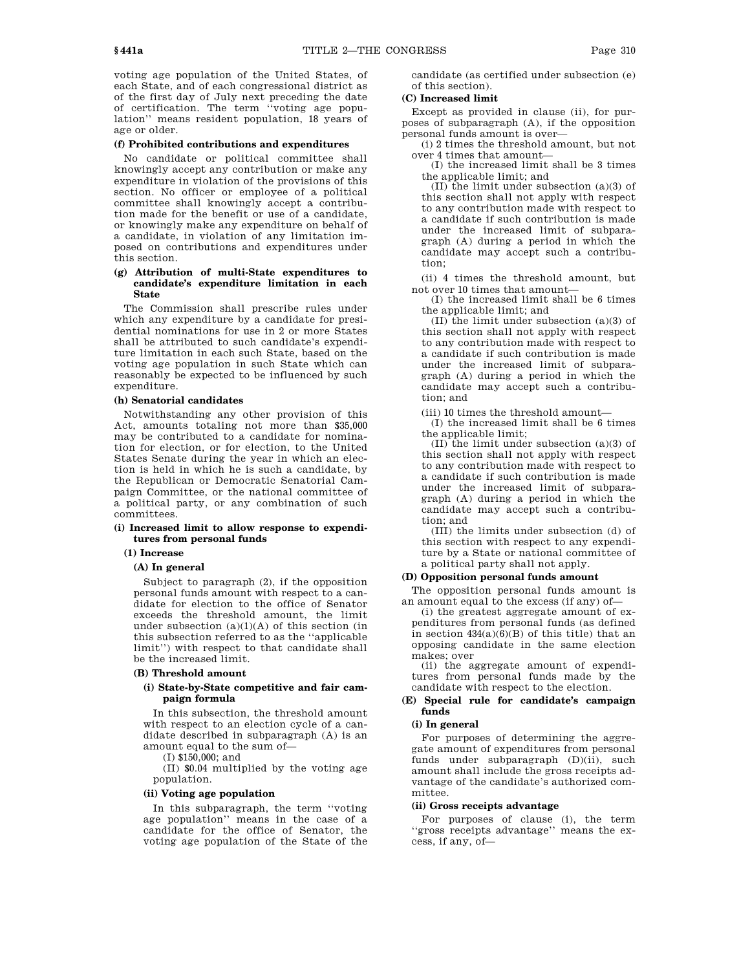voting age population of the United States, of each State, and of each congressional district as of the first day of July next preceding the date of certification. The term ''voting age population'' means resident population, 18 years of age or older.

#### **(f) Prohibited contributions and expenditures**

No candidate or political committee shall knowingly accept any contribution or make any expenditure in violation of the provisions of this section. No officer or employee of a political committee shall knowingly accept a contribution made for the benefit or use of a candidate, or knowingly make any expenditure on behalf of a candidate, in violation of any limitation imposed on contributions and expenditures under this section.

## **(g) Attribution of multi-State expenditures to candidate's expenditure limitation in each State**

The Commission shall prescribe rules under which any expenditure by a candidate for presidential nominations for use in 2 or more States shall be attributed to such candidate's expenditure limitation in each such State, based on the voting age population in such State which can reasonably be expected to be influenced by such expenditure.

## **(h) Senatorial candidates**

Notwithstanding any other provision of this Act, amounts totaling not more than \$35,000 may be contributed to a candidate for nomination for election, or for election, to the United States Senate during the year in which an election is held in which he is such a candidate, by the Republican or Democratic Senatorial Campaign Committee, or the national committee of a political party, or any combination of such committees.

#### **(i) Increased limit to allow response to expenditures from personal funds**

## **(1) Increase**

## **(A) In general**

Subject to paragraph (2), if the opposition personal funds amount with respect to a candidate for election to the office of Senator exceeds the threshold amount, the limit under subsection  $(a)(1)(A)$  of this section (in this subsection referred to as the ''applicable limit'') with respect to that candidate shall be the increased limit.

## **(B) Threshold amount**

## **(i) State-by-State competitive and fair campaign formula**

In this subsection, the threshold amount with respect to an election cycle of a candidate described in subparagraph (A) is an amount equal to the sum of—

(I) \$150,000; and

(II) \$0.04 multiplied by the voting age population.

#### **(ii) Voting age population**

In this subparagraph, the term ''voting age population'' means in the case of a candidate for the office of Senator, the voting age population of the State of the

candidate (as certified under subsection (e) of this section).

## **(C) Increased limit**

Except as provided in clause (ii), for purposes of subparagraph (A), if the opposition personal funds amount is over—

(i) 2 times the threshold amount, but not over 4 times that amount—

(I) the increased limit shall be 3 times the applicable limit; and

(II) the limit under subsection (a)(3) of this section shall not apply with respect to any contribution made with respect to a candidate if such contribution is made under the increased limit of subparagraph (A) during a period in which the candidate may accept such a contribution;

(ii) 4 times the threshold amount, but not over 10 times that amount—

(I) the increased limit shall be 6 times the applicable limit; and

(II) the limit under subsection (a)(3) of this section shall not apply with respect to any contribution made with respect to a candidate if such contribution is made under the increased limit of subparagraph (A) during a period in which the candidate may accept such a contribution; and

(iii) 10 times the threshold amount—

(I) the increased limit shall be 6 times the applicable limit;

(II) the limit under subsection (a)(3) of this section shall not apply with respect to any contribution made with respect to a candidate if such contribution is made under the increased limit of subparagraph (A) during a period in which the candidate may accept such a contribution; and

(III) the limits under subsection (d) of this section with respect to any expenditure by a State or national committee of a political party shall not apply.

# **(D) Opposition personal funds amount**

The opposition personal funds amount is an amount equal to the excess (if any) of—

(i) the greatest aggregate amount of expenditures from personal funds (as defined in section  $434(a)(6)(B)$  of this title) that an opposing candidate in the same election makes; over

(ii) the aggregate amount of expenditures from personal funds made by the candidate with respect to the election.

## **(E) Special rule for candidate's campaign funds**

## **(i) In general**

For purposes of determining the aggregate amount of expenditures from personal funds under subparagraph (D)(ii), such amount shall include the gross receipts advantage of the candidate's authorized committee.

## **(ii) Gross receipts advantage**

For purposes of clause (i), the term ''gross receipts advantage'' means the excess, if any, of—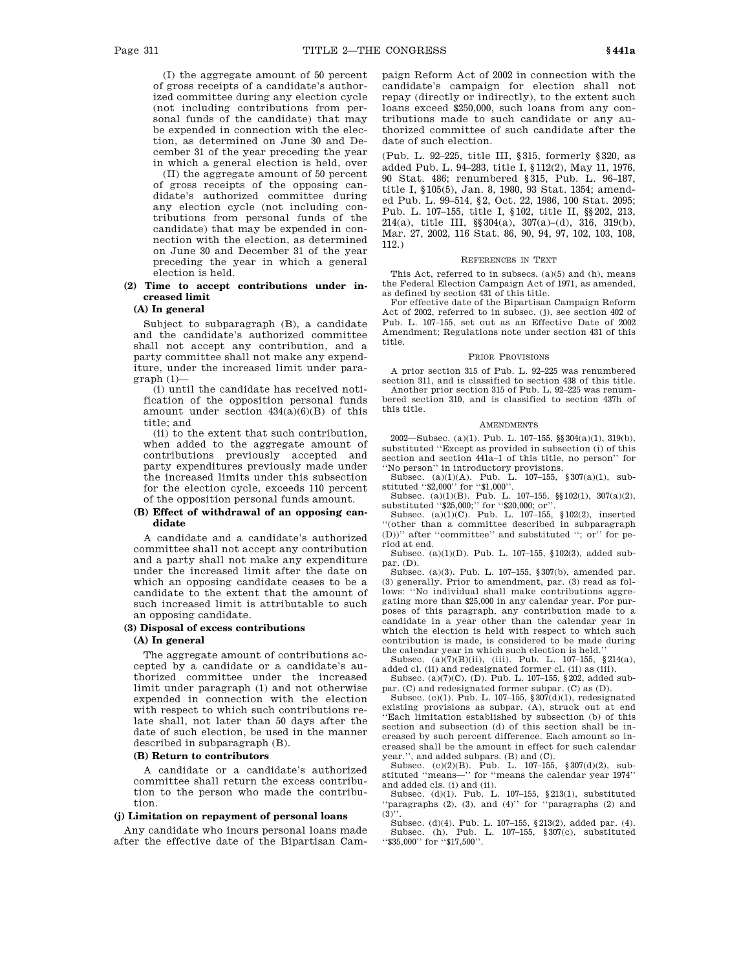(I) the aggregate amount of 50 percent of gross receipts of a candidate's authorized committee during any election cycle (not including contributions from personal funds of the candidate) that may be expended in connection with the election, as determined on June 30 and December 31 of the year preceding the year in which a general election is held, over

(II) the aggregate amount of 50 percent of gross receipts of the opposing candidate's authorized committee during any election cycle (not including contributions from personal funds of the candidate) that may be expended in connection with the election, as determined on June 30 and December 31 of the year preceding the year in which a general election is held.

# **(2) Time to accept contributions under increased limit**

## **(A) In general**

Subject to subparagraph (B), a candidate and the candidate's authorized committee shall not accept any contribution, and a party committee shall not make any expenditure, under the increased limit under paragraph (1)—

(i) until the candidate has received notification of the opposition personal funds amount under section  $434(a)(6)(B)$  of this title; and

(ii) to the extent that such contribution, when added to the aggregate amount of contributions previously accepted and party expenditures previously made under the increased limits under this subsection for the election cycle, exceeds 110 percent of the opposition personal funds amount.

## **(B) Effect of withdrawal of an opposing candidate**

A candidate and a candidate's authorized committee shall not accept any contribution and a party shall not make any expenditure under the increased limit after the date on which an opposing candidate ceases to be a candidate to the extent that the amount of such increased limit is attributable to such an opposing candidate.

### **(3) Disposal of excess contributions**

#### **(A) In general**

The aggregate amount of contributions accepted by a candidate or a candidate's authorized committee under the increased limit under paragraph (1) and not otherwise expended in connection with the election with respect to which such contributions relate shall, not later than 50 days after the date of such election, be used in the manner described in subparagraph (B).

#### **(B) Return to contributors**

A candidate or a candidate's authorized committee shall return the excess contribution to the person who made the contribution.

## **(j) Limitation on repayment of personal loans**

Any candidate who incurs personal loans made after the effective date of the Bipartisan Campaign Reform Act of 2002 in connection with the candidate's campaign for election shall not repay (directly or indirectly), to the extent such loans exceed \$250,000, such loans from any contributions made to such candidate or any authorized committee of such candidate after the date of such election.

(Pub. L. 92–225, title III, §315, formerly §320, as added Pub. L. 94–283, title I, §112(2), May 11, 1976, 90 Stat. 486; renumbered §315, Pub. L. 96–187, title I, §105(5), Jan. 8, 1980, 93 Stat. 1354; amended Pub. L. 99–514, §2, Oct. 22, 1986, 100 Stat. 2095; Pub. L. 107–155, title I, §102, title II, §§202, 213, 214(a), title III, §§304(a), 307(a)–(d), 316, 319(b), Mar. 27, 2002, 116 Stat. 86, 90, 94, 97, 102, 103, 108, 112.)

#### REFERENCES IN TEXT

This Act, referred to in subsecs. (a)(5) and (h), means the Federal Election Campaign Act of 1971, as amended, as defined by section 431 of this title.

For effective date of the Bipartisan Campaign Reform Act of 2002, referred to in subsec. (j), see section 402 of Pub. L. 107–155, set out as an Effective Date of 2002 Amendment; Regulations note under section 431 of this title.

#### PRIOR PROVISIONS

A prior section 315 of Pub. L. 92–225 was renumbered section 311, and is classified to section 438 of this title.

Another prior section 315 of Pub. L. 92–225 was renumbered section 310, and is classified to section 437h of this title.

#### **AMENDMENTS**

2002—Subsec. (a)(1). Pub. L. 107–155, §§304(a)(1), 319(b), substituted ''Except as provided in subsection (i) of this section and section 441a–1 of this title, no person'' for ''No person'' in introductory provisions.

Subsec. (a)(1)(A). Pub. L. 107-155,  $\sqrt{307(a)(1)}$ , sub-

stituted ''\$2,000'' for ''\$1,000''.<br>Subsec. (a)(1)(B). Pub. L. 107–155, §§102(1), 307(a)(2),

substituted ''\$25,000;'' for ''\$20,000; or''.<br>Subsec. (a)(1)(C). Pub. L. 107-155, §102(2), inserted ''(other than a committee described in subparagraph (D))'' after ''committee'' and substituted ''; or'' for period at end.

Subsec. (a)(1)(D). Pub. L. 107–155, §102(3), added subpar. (D).

Subsec. (a)(3). Pub. L. 107–155, §307(b), amended par. (3) generally. Prior to amendment, par. (3) read as follows: "No individual shall make contributions aggregating more than \$25,000 in any calendar year. For purposes of this paragraph, any contribution made to a candidate in a year other than the calendar year in which the election is held with respect to which such contribution is made, is considered to be made during the calendar year in which such election is held.''

Subsec. (a)(7)(B)(ii), (iii). Pub. L. 107–155, §214(a), added cl. (ii) and redesignated former cl. (ii) as (iii).

Subsec. (a)(7)(C), (D). Pub. L. 107–155, §202, added subpar. (C) and redesignated former subpar. (C) as (D).

Subsec. (c)(1). Pub. L. 107–155, §307(d)(1), redesignated existing provisions as subpar. (A), struck out at end ''Each limitation established by subsection (b) of this section and subsection (d) of this section shall be increased by such percent difference. Each amount so increased shall be the amount in effect for such calendar year.'', and added subpars. (B) and (C).

Subsec. (c)(2)(B). Pub. L. 107–155, §307(d)(2), substituted ''means—'' for ''means the calendar year 1974'' and added cls. (i) and (ii).

Subsec. (d)(1). Pub. L. 107–155, §213(1), substituted ''paragraphs (2), (3), and (4)'' for ''paragraphs (2) and  $(3)$ <sup>'</sup>

Subsec. (d)(4). Pub. L. 107–155, §213(2), added par. (4). Subsec. (h). Pub. L. 107–155, §307(c), substituted ''\$35,000'' for ''\$17,500''.